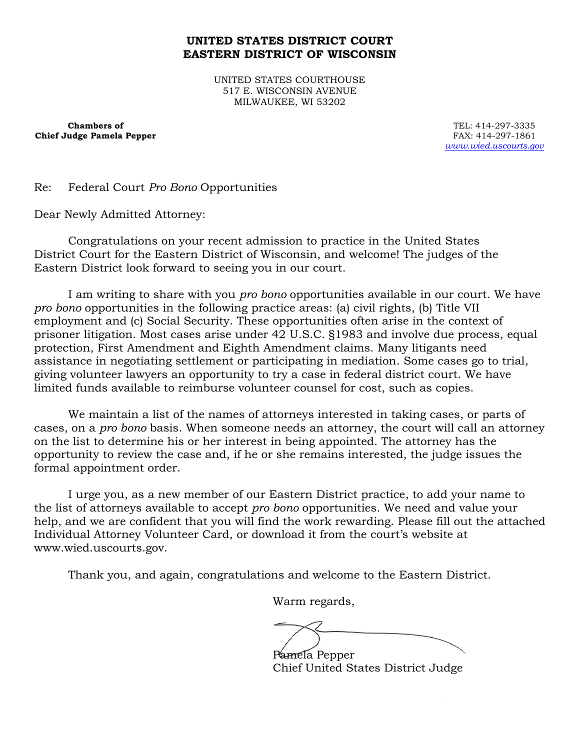## **UNITED STATES DISTRICT COURT EASTERN DISTRICT OF WISCONSIN**

UNITED STATES COURTHOUSE 517 E. WISCONSIN AVENUE MILWAUKEE, WI 53202

**Chambers of Chief Judge Pamela Pepper**

TEL: 414-297-3335 FAX: 414-297-1861 *www.wied.uscourts.gov*

Re: Federal Court *Pro Bono* Opportunities

Dear Newly Admitted Attorney:

Congratulations on your recent admission to practice in the United States District Court for the Eastern District of Wisconsin, and welcome! The judges of the Eastern District look forward to seeing you in our court.

I am writing to share with you *pro bono* opportunities available in our court. We have *pro bono* opportunities in the following practice areas: (a) civil rights, (b) Title VII employment and (c) Social Security. These opportunities often arise in the context of prisoner litigation. Most cases arise under 42 U.S.C. §1983 and involve due process, equal protection, First Amendment and Eighth Amendment claims. Many litigants need assistance in negotiating settlement or participating in mediation. Some cases go to trial, giving volunteer lawyers an opportunity to try a case in federal district court. We have limited funds available to reimburse volunteer counsel for cost, such as copies.

We maintain a list of the names of attorneys interested in taking cases, or parts of cases, on a *pro bono* basis. When someone needs an attorney, the court will call an attorney on the list to determine his or her interest in being appointed. The attorney has the opportunity to review the case and, if he or she remains interested, the judge issues the formal appointment order.

I urge you, as a new member of our Eastern District practice, to add your name to the list of attorneys available to accept *pro bono* opportunities. We need and value your help, and we are confident that you will find the work rewarding. Please fill out the attached Individual Attorney Volunteer Card, or download it from the court's website at www.wied.uscourts.gov.

Thank you, and again, congratulations and welcome to the Eastern District.

Warm regards,

Pamela Pepper

Chief United States District Judge